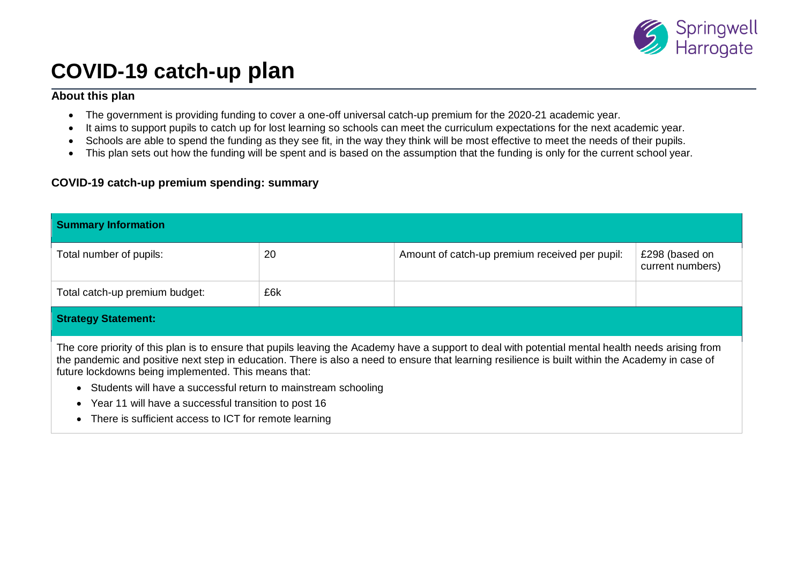

# **COVID-19 catch-up plan**

## **About this plan**

- The government is providing funding to cover a one-off universal catch-up premium for the 2020-21 academic year.
- It aims to support pupils to catch up for lost learning so schools can meet the curriculum expectations for the next academic year.
- Schools are able to spend the funding as they see fit, in the way they think will be most effective to meet the needs of their pupils.
- This plan sets out how the funding will be spent and is based on the assumption that the funding is only for the current school year.

# **COVID-19 catch-up premium spending: summary**

| <b>Summary Information</b>                                                                                                                                                                                                                                                                                                                                     |     |                                                |                                    |  |  |  |
|----------------------------------------------------------------------------------------------------------------------------------------------------------------------------------------------------------------------------------------------------------------------------------------------------------------------------------------------------------------|-----|------------------------------------------------|------------------------------------|--|--|--|
| Total number of pupils:                                                                                                                                                                                                                                                                                                                                        | 20  | Amount of catch-up premium received per pupil: | £298 (based on<br>current numbers) |  |  |  |
| Total catch-up premium budget:                                                                                                                                                                                                                                                                                                                                 | £6k |                                                |                                    |  |  |  |
| <b>Strategy Statement:</b>                                                                                                                                                                                                                                                                                                                                     |     |                                                |                                    |  |  |  |
| The core priority of this plan is to ensure that pupils leaving the Academy have a support to deal with potential mental health needs arising from<br>the pandemic and positive next step in education. There is also a need to ensure that learning resilience is built within the Academy in case of<br>future lockdowns being implemented. This means that: |     |                                                |                                    |  |  |  |
| Students will have a successful return to mainstream schooling                                                                                                                                                                                                                                                                                                 |     |                                                |                                    |  |  |  |
| Year 11 will have a successful transition to post 16                                                                                                                                                                                                                                                                                                           |     |                                                |                                    |  |  |  |
| • There is sufficient access to ICT for remote learning                                                                                                                                                                                                                                                                                                        |     |                                                |                                    |  |  |  |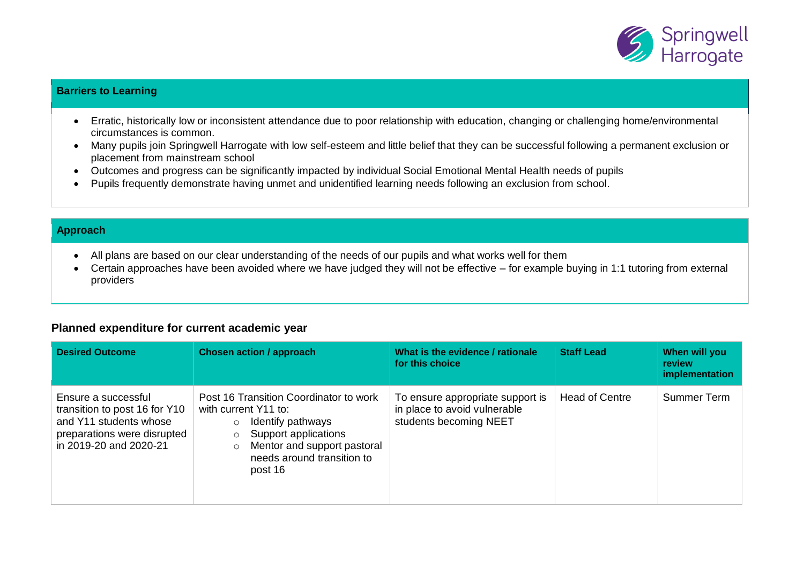

#### **Barriers to Learning**

- Erratic, historically low or inconsistent attendance due to poor relationship with education, changing or challenging home/environmental circumstances is common.
- Many pupils join Springwell Harrogate with low self-esteem and little belief that they can be successful following a permanent exclusion or placement from mainstream school
- Outcomes and progress can be significantly impacted by individual Social Emotional Mental Health needs of pupils
- Pupils frequently demonstrate having unmet and unidentified learning needs following an exclusion from school.

#### **Approach**

- All plans are based on our clear understanding of the needs of our pupils and what works well for them
- Certain approaches have been avoided where we have judged they will not be effective for example buying in 1:1 tutoring from external providers

## **Planned expenditure for current academic year**

| <b>Desired Outcome</b>                                                                                                                  | <b>Chosen action / approach</b>                                                                                                                                                                           | What is the evidence / rationale<br>for this choice                                        | <b>Staff Lead</b>     | When will you<br><b>review</b><br>implementation |
|-----------------------------------------------------------------------------------------------------------------------------------------|-----------------------------------------------------------------------------------------------------------------------------------------------------------------------------------------------------------|--------------------------------------------------------------------------------------------|-----------------------|--------------------------------------------------|
| Ensure a successful<br>transition to post 16 for Y10<br>and Y11 students whose<br>preparations were disrupted<br>in 2019-20 and 2020-21 | Post 16 Transition Coordinator to work<br>with current Y11 to:<br>Identify pathways<br>$\circ$<br>Support applications<br>Mentor and support pastoral<br>$\circ$<br>needs around transition to<br>post 16 | To ensure appropriate support is<br>in place to avoid vulnerable<br>students becoming NEET | <b>Head of Centre</b> | Summer Term                                      |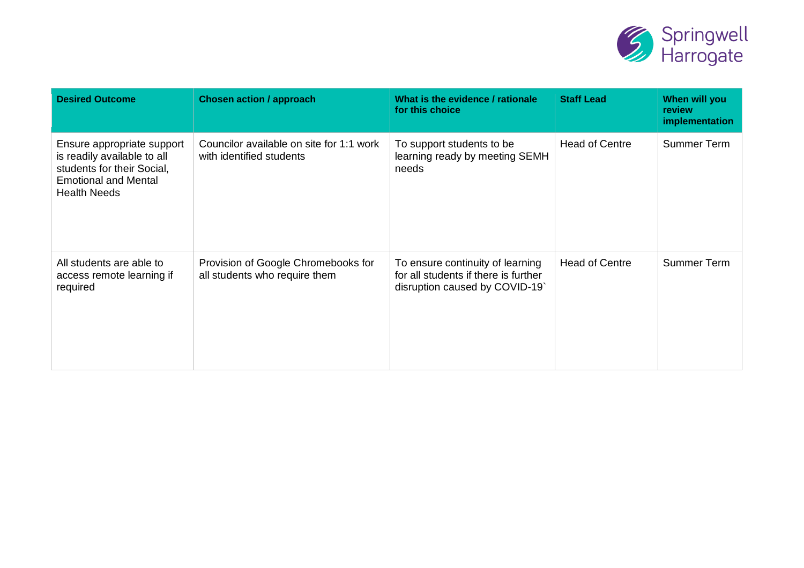

| <b>Desired Outcome</b>                                                                                                                        | <b>Chosen action / approach</b>                                      | What is the evidence / rationale<br>for this choice                                                       | <b>Staff Lead</b>     | When will you<br>review<br>implementation |
|-----------------------------------------------------------------------------------------------------------------------------------------------|----------------------------------------------------------------------|-----------------------------------------------------------------------------------------------------------|-----------------------|-------------------------------------------|
| Ensure appropriate support<br>is readily available to all<br>students for their Social,<br><b>Emotional and Mental</b><br><b>Health Needs</b> | Councilor available on site for 1:1 work<br>with identified students | To support students to be<br>learning ready by meeting SEMH<br>needs                                      | <b>Head of Centre</b> | <b>Summer Term</b>                        |
| All students are able to<br>access remote learning if<br>required                                                                             | Provision of Google Chromebooks for<br>all students who require them | To ensure continuity of learning<br>for all students if there is further<br>disruption caused by COVID-19 | <b>Head of Centre</b> | <b>Summer Term</b>                        |